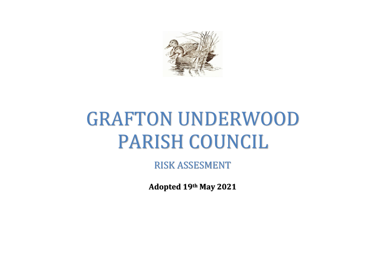

## GRAFTON UNDERWOOD PARISH COUNCIL

RISK ASSESMENT

**Adopted 19th May 2021**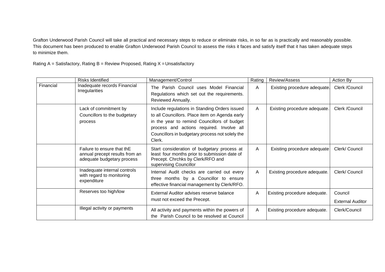Grafton Underwood Parish Council will take all practical and necessary steps to reduce or eliminate risks, in so far as is practically and reasonably possible. This document has been produced to enable Grafton Underwood Parish Council to assess the risks it faces and satisfy itself that it has taken adequate steps to minimize them.

Rating  $A =$  Satisfactory, Rating  $B =$  Review Proposed, Rating  $X =$  Unsatisfactory

|           | <b>Risks Identified</b>                                                                    | Management/Control                                                                                                                                                                                                                                       | Rating       | Review/Assess                | <b>Action By</b>                   |
|-----------|--------------------------------------------------------------------------------------------|----------------------------------------------------------------------------------------------------------------------------------------------------------------------------------------------------------------------------------------------------------|--------------|------------------------------|------------------------------------|
| Financial | Inadequate records Financial<br><b>Irregularities</b>                                      | The Parish Council uses Model Financial<br>Regulations which set out the requirements.<br>Reviewed Annually.                                                                                                                                             | A            | Existing procedure adequate. | Clerk /Council                     |
|           | Lack of commitment by<br>Councillors to the budgetary<br>process                           | Include regulations in Standing Orders issued<br>to all Councillors. Place item on Agenda early<br>in the year to remind Councillors of budget<br>process and actions required. Involve all<br>Councillors in budgetary process not solely the<br>Clerk. | $\mathsf{A}$ | Existing procedure adequate. | Clerk /Council                     |
|           | Failure to ensure that thE<br>annual precept results from an<br>adequate budgetary process | Start consideration of budgetary process at<br>least four months prior to submission date of<br>Precept. Chrchks by Clerk/RFO and<br>supervising Councillor                                                                                              | A            | Existing procedure adequate  | Clerk/ Council                     |
|           | Inadequate internal controls<br>with regard to monitoring<br>expenditure                   | Internal Audit checks are carried out every<br>three months by a Councillor to ensure<br>effective financial management by Clerk/RFO.                                                                                                                    | $\mathsf{A}$ | Existing procedure adequate. | Clerk/ Council                     |
|           | Reserves too high/low                                                                      | External Auditor advises reserve balance<br>must not exceed the Precept.                                                                                                                                                                                 | A            | Existing procedure adequate. | Council<br><b>External Auditor</b> |
|           | Illegal activity or payments                                                               | All activity and payments within the powers of<br>the Parish Council to be resolved at Council                                                                                                                                                           | A            | Existing procedure adequate. | Clerk/Council                      |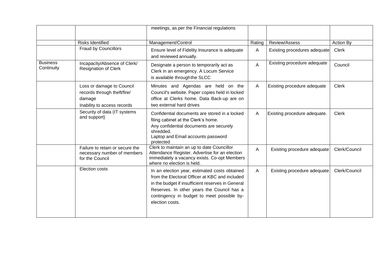|                               |                                                                                                   | meetings, as per the Financial regulations                                                                                                                                                                                                                          |        |                                    |               |
|-------------------------------|---------------------------------------------------------------------------------------------------|---------------------------------------------------------------------------------------------------------------------------------------------------------------------------------------------------------------------------------------------------------------------|--------|------------------------------------|---------------|
|                               | <b>Risks Identified</b>                                                                           | Management/Control                                                                                                                                                                                                                                                  | Rating | Review/Assess                      | Action By     |
|                               | <b>Fraud by Councillors</b>                                                                       | Ensure level of Fidelity Insurance is adequate<br>and reviewed annually.                                                                                                                                                                                            | A      | Existing procedures adequate       | <b>Clerk</b>  |
| <b>Business</b><br>Continuity | Incapacity/Absence of Clerk/<br>Resignation of Clerk                                              | Designate a person to temporarily act as<br>Clerk in an emergency. A Locum Service<br>is available through the SLCC                                                                                                                                                 | A      | Existing procedure adequate        | Council       |
|                               | Loss or damage to Council<br>records through theft/fire/<br>damage<br>Inability to access records | Minutes and Agendas are held on the<br>Council's website. Paper copies held in locked<br>office at Clerks home. Data Back-up are on<br>two external hard drives                                                                                                     | A      | <b>Existing procedure adequate</b> | <b>Clerk</b>  |
|                               | Security of data (IT systems<br>and support)                                                      | Confidential documents are stored in a locked<br>filing cabinet at the Clerk's home.<br>Any confidential documents are securely<br>shredded.<br>Laptop and Email accounts password<br>protected                                                                     | A      | Existing procedure adequate.       | <b>Clerk</b>  |
|                               | Failure to retain or secure the<br>necessary number of members<br>for the Council                 | Clerk to maintain an up to date Councillor<br>Attendance Register. Advertise for an election<br>immediately a vacancy exists. Co-opt Members<br>where no election is held.                                                                                          | A      | Existing procedure adequate        | Clerk/Council |
|                               | Election costs                                                                                    | In an election year, estimated costs obtained<br>from the Electoral Officer at KBC and included<br>in the budget if insufficient reserves in General<br>Reserves. In other years the Council has a<br>contingency in budget to meet possible by-<br>election costs. | A      | Existing procedure adequate        | Clerk/Council |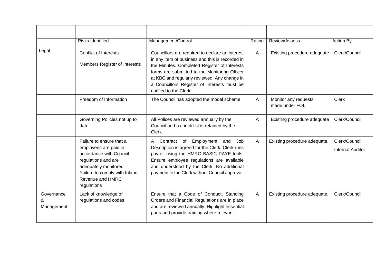|                               | <b>Risks Identified</b>                                                                                                                                                                            | Management/Control                                                                                                                                                                                                                                                                                                           | Rating       | Review/Assess                           | Action By                                |
|-------------------------------|----------------------------------------------------------------------------------------------------------------------------------------------------------------------------------------------------|------------------------------------------------------------------------------------------------------------------------------------------------------------------------------------------------------------------------------------------------------------------------------------------------------------------------------|--------------|-----------------------------------------|------------------------------------------|
| Legal                         | <b>Conflict of Interests</b><br>Members Register of Interests                                                                                                                                      | Councillors are required to declare an interest<br>in any item of business and this is recorded in<br>the Minutes. Completed Register of Interests<br>forms are submitted to the Monitoring Officer<br>at KBC and regularly reviewed. Any change in<br>a Councillors Register of Interests must be<br>notified to the Clerk. | $\mathsf{A}$ | Existing procedure adequate             | Clerk/Council                            |
|                               | Freedom of Information                                                                                                                                                                             | The Council has adopted the model scheme                                                                                                                                                                                                                                                                                     | A            | Monitor any requests<br>made under FOI. | <b>Clerk</b>                             |
|                               | Governing Policies not up to<br>date                                                                                                                                                               | All Polices are reviewed annually by the<br>Council and a check list is retained by the<br>Clerk.                                                                                                                                                                                                                            | A            | Existing procedure adequate             | Clerk/Council                            |
|                               | Failure to ensure that all<br>employees are paid in<br>accordance with Council<br>regulations and are<br>adequately monitored.<br>Failure to comply with Inland<br>Revenue and HMRC<br>regulations | Employment and<br>Contract of<br>Job<br>A<br>Description is agreed for the Clerk. Clerk runs<br>payroll using the HMRC BASIC PAYE tools.<br>Ensure employee regulations are available<br>and understood by the Clerk. No additional<br>payment to the Clerk without Council approval.                                        | A            | Existing procedure adequate.            | Clerk/Council<br><b>Internal Auditor</b> |
| Governance<br>&<br>Management | Lack of knowledge of<br>regulations and codes                                                                                                                                                      | Ensure that a Code of Conduct, Standing<br>Orders and Financial Regulations are in place<br>and are reviewed annually. Highlight essential<br>parts and provide training where relevant.                                                                                                                                     | A            | Existing procedure adequate.            | Clerk/Council                            |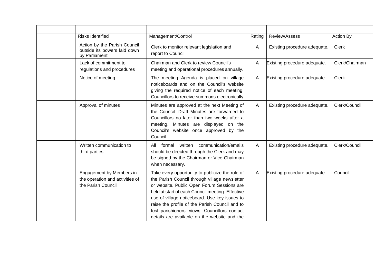| <b>Risks Identified</b>                                                           | Management/Control                                                                                                                                                                                                                                                                                                                                                                                     | Rating       | Review/Assess                | Action By      |
|-----------------------------------------------------------------------------------|--------------------------------------------------------------------------------------------------------------------------------------------------------------------------------------------------------------------------------------------------------------------------------------------------------------------------------------------------------------------------------------------------------|--------------|------------------------------|----------------|
| Action by the Parish Council<br>outside its powers laid down<br>by Parliament     | Clerk to monitor relevant legislation and<br>report to Council                                                                                                                                                                                                                                                                                                                                         | $\mathsf{A}$ | Existing procedure adequate. | <b>Clerk</b>   |
| Lack of commitment to<br>regulations and procedures                               | Chairman and Clerk to review Council's<br>meeting and operational procedures annually.                                                                                                                                                                                                                                                                                                                 | $\mathsf{A}$ | Existing procedure adequate. | Clerk/Chairman |
| Notice of meeting                                                                 | The meeting Agenda is placed on village<br>noticeboards and on the Council's website<br>giving the required notice of each meeting.<br>Councillors to receive summons electronically                                                                                                                                                                                                                   | $\mathsf{A}$ | Existing procedure adequate. | <b>Clerk</b>   |
| Approval of minutes                                                               | Minutes are approved at the next Meeting of<br>the Council. Draft Minutes are forwarded to<br>Councillors no later than two weeks after a<br>meeting. Minutes are displayed on the<br>Council's website once approved by the<br>Council.                                                                                                                                                               | A            | Existing procedure adequate. | Clerk/Council  |
| Written communication to<br>third parties                                         | All formal written communication/emails<br>should be directed through the Clerk and may<br>be signed by the Chairman or Vice-Chairman<br>when necessary.                                                                                                                                                                                                                                               | $\mathsf{A}$ | Existing procedure adequate. | Clerk/Council  |
| Engagement by Members in<br>the operation and activities of<br>the Parish Council | Take every opportunity to publicize the role of<br>the Parish Council through village newsletter<br>or website. Public Open Forum Sessions are<br>held at start of each Council meeting. Effective<br>use of village noticeboard. Use key issues to<br>raise the profile of the Parish Council and to<br>test parishioners' views. Councillors contact<br>details are available on the website and the | $\mathsf{A}$ | Existing procedure adequate. | Council        |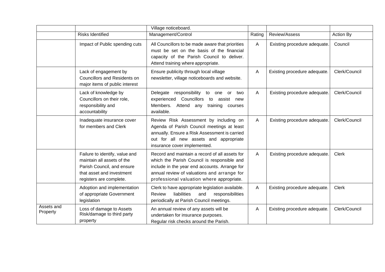|                        |                                                                                                                                                    | Village noticeboard.                                                                                                                                                                                                                       |        |                              |               |
|------------------------|----------------------------------------------------------------------------------------------------------------------------------------------------|--------------------------------------------------------------------------------------------------------------------------------------------------------------------------------------------------------------------------------------------|--------|------------------------------|---------------|
|                        | <b>Risks Identified</b>                                                                                                                            | Management/Control                                                                                                                                                                                                                         | Rating | Review/Assess                | Action By     |
|                        | Impact of Public spending cuts                                                                                                                     | All Councillors to be made aware that priorities<br>must be set on the basis of the financial<br>capacity of the Parish Council to deliver.<br>Attend training where appropriate.                                                          | A      | Existing procedure adequate. | Council       |
|                        | Lack of engagement by<br><b>Councillors and Residents on</b><br>major items of public interest                                                     | Ensure publicity through local village<br>newsletter, village noticeboards and website.                                                                                                                                                    | Α      | Existing procedure adequate. | Clerk/Council |
|                        | Lack of knowledge by<br>Councillors on their role,<br>responsibility and<br>accountability                                                         | responsibility to<br>Delegate<br>one or<br>two<br>experienced<br>Councillors<br>assist new<br>to<br>Members.<br>Attend<br>training<br>any<br>courses<br>available.                                                                         | A      | Existing procedure adequate. | Clerk/Council |
|                        | Inadequate insurance cover<br>for members and Clerk                                                                                                | Review Risk Assessment by including on<br>Agenda of Parish Council meetings at least<br>annually. Ensure a Risk Assessment is carried<br>out for all new assets and appropriate<br>insurance cover implemented.                            | A      | Existing procedure adequate. | Clerk/Council |
|                        | Failure to identify, value and<br>maintain all assets of the<br>Parish Council, and ensure<br>that asset and investment<br>registers are complete. | Record and maintain a record of all assets for<br>which the Parish Council is responsible and<br>include in the year end accounts. Arrange for<br>annual review of valuations and arrange for<br>professional valuation where appropriate. | A      | Existing procedure adequate. | <b>Clerk</b>  |
|                        | Adoption and implementation<br>of appropriate Government<br>legislation                                                                            | Clerk to have appropriate legislation available.<br>liabilities<br>responsibilities<br><b>Review</b><br>and<br>periodically at Parish Council meetings.                                                                                    | Α      | Existing procedure adequate. | Clerk         |
| Assets and<br>Property | Loss of damage to Assets<br>Risk/damage to third party<br>property                                                                                 | An annual review of any assets will be<br>undertaken for insurance purposes.<br>Regular risk checks around the Parish.                                                                                                                     | Α      | Existing procedure adequate. | Clerk/Council |